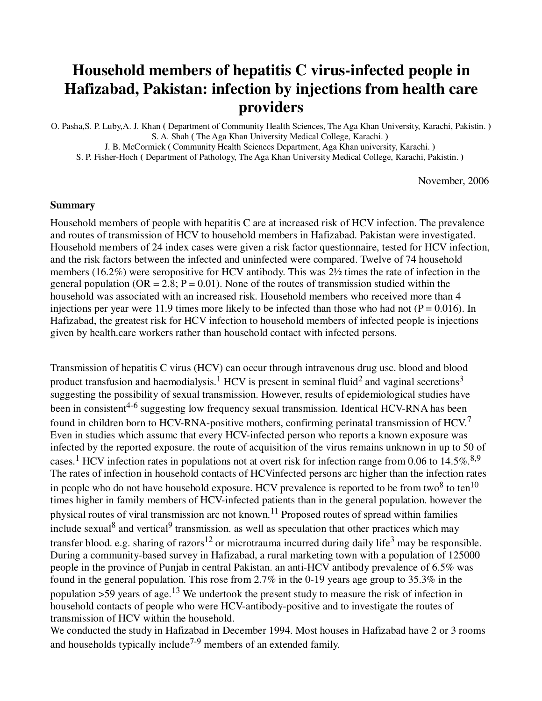## **Household members of hepatitis C virus-infected people in Hafizabad, Pakistan: infection by injections from health care providers**

O. Pasha,S. P. Luby,A. J. Khan **(** Department of Community HeaIth Sciences, The Aga Khan University, Karachi, Pakistin. **)** S. A. Shah **(** The Aga Khan University Medical College, Karachi. **)** 

J. B. McCormick **(** Community Health Scienecs Department, Aga Khan university, Karachi. **)**  S. P. Fisher-Hoch **(** Department of Pathology, The Aga Khan University Medical College, Karachi, Pakistin. **)** 

November, 2006

#### **Summary**

Household members of people with hepatitis C are at increased risk of HCV infection. The prevalence and routes of transmission of HCV to household members in Hafizabad. Pakistan were investigated. Household members of 24 index cases were given a risk factor questionnaire, tested for HCV infection, and the risk factors between the infected and uninfected were compared. Twelve of 74 household members (16.2%) were seropositive for HCV antibody. This was 2½ times the rate of infection in the general population ( $OR = 2.8$ ;  $P = 0.01$ ). None of the routes of transmission studied within the household was associated with an increased risk. Household members who received more than 4 injections per year were 11.9 times more likely to be infected than those who had not ( $P = 0.016$ ). In Hafizabad, the greatest risk for HCV infection to household members of infected people is injections given by health.care workers rather than household contact with infected persons.

Transmission of hepatitis C virus (HCV) can occur through intravenous drug usc. blood and blood product transfusion and haemodialysis.<sup>1</sup> HCV is present in seminal fluid<sup>2</sup> and vaginal secretions<sup>3</sup> suggesting the possibility of sexual transmission. However, results of epidemiological studies have been in consistent<sup>4-6</sup> suggesting low frequency sexual transmission. Identical HCV-RNA has been found in children born to HCV-RNA-positive mothers, confirming perinatal transmission of HCV.<sup>7</sup> Even in studies which assumc that every HCV-infected person who reports a known exposure was infected by the reported exposure. the route of acquisition of the virus remains unknown in up to 50 of cases.<sup>1</sup> HCV infection rates in populations not at overt risk for infection range from 0.06 to 14.5%.<sup>8,9</sup> The rates of infection in household contacts of HCVinfected persons arc higher than the infection rates in pcoplc who do not have household exposure. HCV prevalence is reported to be from two<sup>8</sup> to ten<sup>10</sup> times higher in family members of HCV-infected patients than in the general population. however the physical routes of viral transmission arc not known.11 Proposed routes of spread within families include sexual<sup>8</sup> and vertical<sup>9</sup> transmission. as well as speculation that other practices which may transfer blood. e.g. sharing of razors<sup>12</sup> or microtrauma incurred during daily life<sup>3</sup> may be responsible. During a community-based survey in Hafizabad, a rural marketing town with a population of 125000 people in the province of Punjab in central Pakistan. an anti-HCV antibody prevalence of 6.5% was found in the general population. This rose from 2.7% in the 0-19 years age group to 35.3% in the population  $>59$  years of age.<sup>13</sup> We undertook the present study to measure the risk of infection in household contacts of people who were HCV-antibody-positive and to investigate the routes of transmission of HCV within the household.

We conducted the study in Hafizabad in December 1994. Most houses in Hafizabad have 2 or 3 rooms and households typically include<sup> $7-9$ </sup> members of an extended family.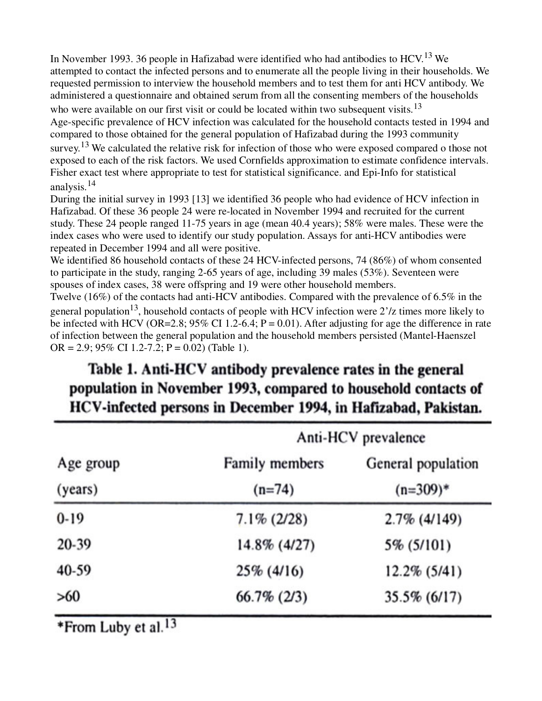In November 1993. 36 people in Hafizabad were identified who had antibodies to HCV.<sup>13</sup> We attempted to contact the infected persons and to enumerate all the people living in their households. We requested permission to interview the household members and to test them for anti HCV antibody. We administered a questionnaire and obtained serum from all the consenting members of the households who were available on our first visit or could be located within two subsequent visits.<sup>13</sup> Age-specific prevalence of HCV infection was calculated for the household contacts tested in 1994 and compared to those obtained for the general population of Hafizabad during the 1993 community survey.<sup>13</sup> We calculated the relative risk for infection of those who were exposed compared o those not exposed to each of the risk factors. We used Cornfields approximation to estimate confidence intervals. Fisher exact test where appropriate to test for statistical significance. and Epi-Info for statistical analysis.<sup>14</sup>

During the initial survey in 1993 [13] we identified 36 people who had evidence of HCV infection in Hafizabad. Of these 36 people 24 were re-located in November 1994 and recruited for the current study. These 24 people ranged 11-75 years in age (mean 40.4 years); 58% were males. These were the index cases who were used to identify our study population. Assays for anti-HCV antibodies were repeated in December 1994 and all were positive.

We identified 86 household contacts of these 24 HCV-infected persons, 74 (86%) of whom consented to participate in the study, ranging 2-65 years of age, including 39 males (53%). Seventeen were spouses of index cases, 38 were offspring and 19 were other household members.

Twelve (16%) of the contacts had anti-HCV antibodies. Compared with the prevalence of 6.5% in the general population<sup>13</sup>, household contacts of people with HCV infection were  $2'/z$  times more likely to be infected with HCV (OR=2.8;  $95\%$  CI 1.2-6.4; P = 0.01). After adjusting for age the difference in rate of infection between the general population and the household members persisted (Mantel-Haenszel OR = 2.9; 95% CI 1.2-7.2; P = 0.02) (Table 1).

# Table 1. Anti-HCV antibody prevalence rates in the general population in November 1993, compared to household contacts of HCV-infected persons in December 1994, in Hafizabad, Pakistan.

| Age group<br>(years) | Anti-HCV prevalence           |                    |  |  |
|----------------------|-------------------------------|--------------------|--|--|
|                      | Family members                | General population |  |  |
|                      | $(n=74)$                      | $(n=309)*$         |  |  |
| $0-19$               | $7.1\% (2/28)$                | $2.7\%$ (4/149)    |  |  |
| 20-39                | 14.8% (4/27)                  | 5% (5/101)         |  |  |
| 40-59                | 25% (4/16)<br>$12.2\%$ (5/41) |                    |  |  |
| >60                  | $66.7\%$ (2/3)                | 35.5% (6/17)       |  |  |

\*From Luby et al.<sup>13</sup>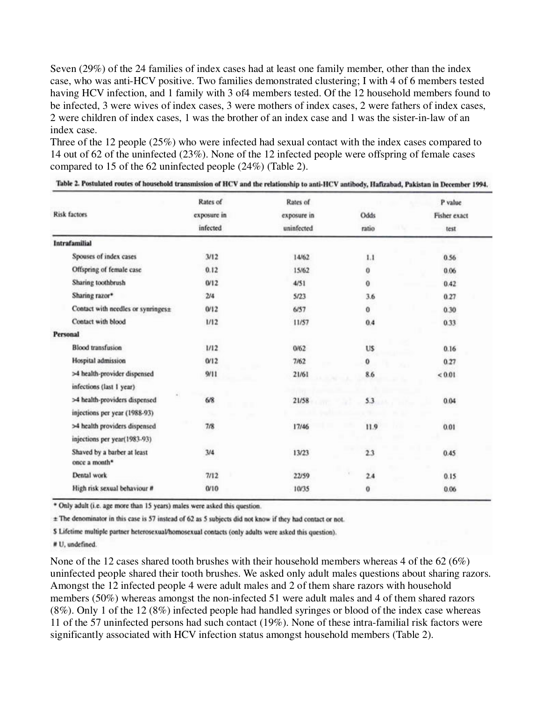Seven (29%) of the 24 families of index cases had at least one family member, other than the index case, who was anti-HCV positive. Two families demonstrated clustering; I with 4 of 6 members tested having HCV infection, and 1 family with 3 of4 members tested. Of the 12 household members found to be infected, 3 were wives of index cases, 3 were mothers of index cases, 2 were fathers of index cases, 2 were children of index cases, 1 was the brother of an index case and 1 was the sister-in-law of an index case.

Three of the 12 people (25%) who were infected had sexual contact with the index cases compared to 14 out of 62 of the uninfected (23%). None of the 12 infected people were offspring of female cases compared to 15 of the 62 uninfected people (24%) (Table 2).

|                                                          | Rates of                | Rates of<br>exposure in<br>uninfected | Odds<br>ratio       | P value<br>Fisher exact<br>test |
|----------------------------------------------------------|-------------------------|---------------------------------------|---------------------|---------------------------------|
| <b>Risk factors</b>                                      | exposure in<br>infected |                                       |                     |                                 |
|                                                          |                         |                                       |                     |                                 |
| Spouses of index cases                                   | 3/12                    | 14/62                                 | 1.1                 | 0.56                            |
| Offspring of female case                                 | 0.12                    | 15/62                                 | 0                   | 0.06                            |
| Sharing toothbrush                                       | 0/12                    | 4/51                                  | $\ddot{\mathbf{0}}$ | 0.42                            |
| Sharing razor*                                           | 2/4                     | 5/23                                  | 3.6                 | 0.27                            |
| Contact with needles or synringes±                       | 0/12                    | 6/57                                  | 0                   | 0.30                            |
| Contact with blood                                       | 1/12                    | 11/57                                 | 0.4                 | 0.33                            |
| Personal                                                 |                         |                                       |                     |                                 |
| <b>Blood</b> transfusion                                 | 1/12                    | 0/62                                  | <b>US</b>           | 0.16                            |
| Hospital admission                                       | Q/12                    | 7/62                                  | 0                   | 0.27                            |
| >4 health-provider dispensed                             | 9/11                    | 21/61                                 | 8.6                 | < 0.01                          |
| infections (last 1 year).                                |                         |                                       |                     |                                 |
| >4 health-providers dispensed                            | 6/8                     | 21/58                                 | 5.3                 | 0.04                            |
| injections per year (1988-93)                            |                         |                                       |                     |                                 |
| >4 health providers dispensed                            | 7/8                     | 17/46                                 | 11.9                | 0.01                            |
| injections per year(1983-93)                             |                         |                                       |                     |                                 |
| Shaved by a barber at least<br>once a month <sup>*</sup> | 3/4                     | 13/23                                 | 2.3                 | 0.45                            |
| Dental work                                              | 7/12                    | 22/59                                 | 2.4                 | 0.15                            |
| High risk sexual behaviour #                             | 0/10                    | 10/35                                 | 0                   | 0.06                            |

Table 2. Postulated routes of household transmission of HCV and the relationship to anti-HCV antibody, Hafizabad, Pakistan in December 1994.

\* Only adult (i.e. age more than 15 years) males were asked this question.

± The denominator in this case is 57 instead of 62 as 5 subjects did not know if they had contact or not.

\$ Lifetime multiple partner heterosexual/homosexual contacts (only adults were asked this question).

# U, undefined.

None of the 12 cases shared tooth brushes with their household members whereas 4 of the 62 (6%) uninfected people shared their tooth brushes. We asked only adult males questions about sharing razors. Amongst the 12 infected people 4 were adult males and 2 of them share razors with household members (50%) whereas amongst the non-infected 51 were adult males and 4 of them shared razors (8%). Only 1 of the 12 (8%) infected people had handled syringes or blood of the index case whereas 11 of the 57 uninfected persons had such contact (19%). None of these intra-familial risk factors were significantly associated with HCV infection status amongst household members (Table 2).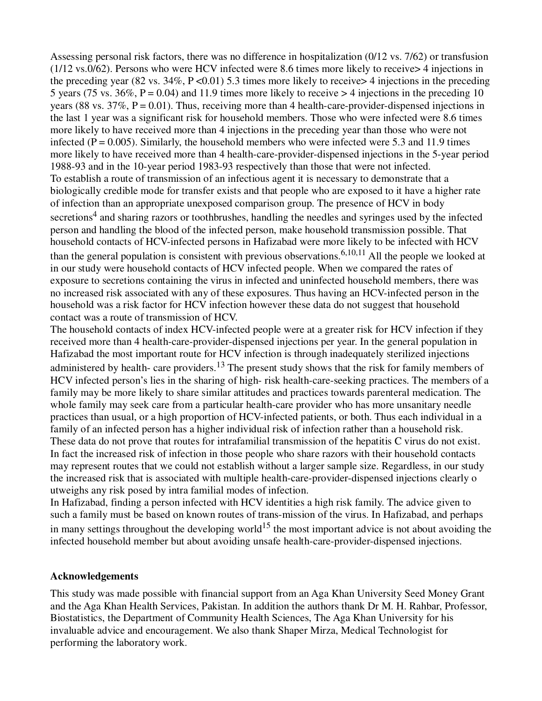Assessing personal risk factors, there was no difference in hospitalization (0/12 vs. 7/62) or transfusion (1/12 vs.0/62). Persons who were HCV infected were 8.6 times more likely to receive> 4 injections in the preceding year (82 vs.  $34\%$ , P <0.01) 5.3 times more likely to receive > 4 injections in the preceding 5 years (75 ys.  $36\%$ , P = 0.04) and 11.9 times more likely to receive  $>$  4 injections in the preceding 10 years (88 vs.  $37\%$ , P = 0.01). Thus, receiving more than 4 health-care-provider-dispensed injections in the last 1 year was a significant risk for household members. Those who were infected were 8.6 times more likely to have received more than 4 injections in the preceding year than those who were not infected ( $P = 0.005$ ). Similarly, the household members who were infected were 5.3 and 11.9 times more likely to have received more than 4 health-care-provider-dispensed injections in the 5-year period 1988-93 and in the 10-year period 1983-93 respectively than those that were not infected. To establish a route of transmission of an infectious agent it is necessary to demonstrate that a biologically credible mode for transfer exists and that people who are exposed to it have a higher rate of infection than an appropriate unexposed comparison group. The presence of HCV in body secretions<sup>4</sup> and sharing razors or toothbrushes, handling the needles and syringes used by the infected person and handling the blood of the infected person, make household transmission possible. That household contacts of HCV-infected persons in Hafizabad were more likely to be infected with HCV than the general population is consistent with previous observations.<sup>6,10,11</sup> All the people we looked at in our study were household contacts of HCV infected people. When we compared the rates of exposure to secretions containing the virus in infected and uninfected household members, there was no increased risk associated with any of these exposures. Thus having an HCV-infected person in the household was a risk factor for HCV infection however these data do not suggest that household contact was a route of transmission of HCV.

The household contacts of index HCV-infected people were at a greater risk for HCV infection if they received more than 4 health-care-provider-dispensed injections per year. In the general population in Hafizabad the most important route for HCV infection is through inadequately sterilized injections administered by health- care providers.<sup>13</sup> The present study shows that the risk for family members of HCV infected person's lies in the sharing of high- risk health-care-seeking practices. The members of a family may be more likely to share similar attitudes and practices towards parenteral medication. The whole family may seek care from a particular health-care provider who has more unsanitary needle practices than usual, or a high proportion of HCV-infected patients, or both. Thus each individual in a family of an infected person has a higher individual risk of infection rather than a household risk. These data do not prove that routes for intrafamilial transmission of the hepatitis C virus do not exist. In fact the increased risk of infection in those people who share razors with their household contacts may represent routes that we could not establish without a larger sample size. Regardless, in our study the increased risk that is associated with multiple health-care-provider-dispensed injections clearly o utweighs any risk posed by intra familial modes of infection.

In Hafizabad, finding a person infected with HCV identities a high risk family. The advice given to such a family must be based on known routes of trans-mission of the virus. In Hafizabad, and perhaps in many settings throughout the developing world<sup>15</sup> the most important advice is not about avoiding the infected household member but about avoiding unsafe health-care-provider-dispensed injections.

### **Acknowledgements**

This study was made possible with financial support from an Aga Khan University Seed Money Grant and the Aga Khan Health Services, Pakistan. In addition the authors thank Dr M. H. Rahbar, Professor, Biostatistics, the Department of Community Health Sciences, The Aga Khan University for his invaluable advice and encouragement. We also thank Shaper Mirza, Medical Technologist for performing the laboratory work.